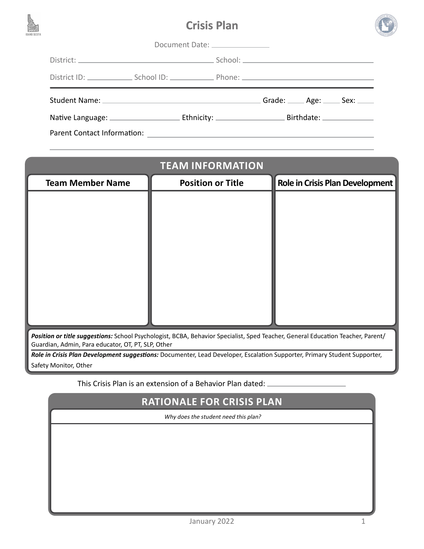





| Document Date: _______________ |  |  |  |                                                                                                                                                                                                                               |                                   |
|--------------------------------|--|--|--|-------------------------------------------------------------------------------------------------------------------------------------------------------------------------------------------------------------------------------|-----------------------------------|
|                                |  |  |  |                                                                                                                                                                                                                               |                                   |
|                                |  |  |  |                                                                                                                                                                                                                               |                                   |
|                                |  |  |  |                                                                                                                                                                                                                               | Grade: _____ Age: _____ Sex: ____ |
|                                |  |  |  |                                                                                                                                                                                                                               |                                   |
| Parent Contact Information:    |  |  |  | the control of the control of the control of the control of the control of the control of the control of the control of the control of the control of the control of the control of the control of the control of the control |                                   |

| <b>TEAM INFORMATION</b>                                                                                                         |                          |                                        |  |  |
|---------------------------------------------------------------------------------------------------------------------------------|--------------------------|----------------------------------------|--|--|
| <b>Team Member Name</b>                                                                                                         | <b>Position or Title</b> | <b>Role in Crisis Plan Development</b> |  |  |
|                                                                                                                                 |                          |                                        |  |  |
|                                                                                                                                 |                          |                                        |  |  |
|                                                                                                                                 |                          |                                        |  |  |
|                                                                                                                                 |                          |                                        |  |  |
|                                                                                                                                 |                          |                                        |  |  |
|                                                                                                                                 |                          |                                        |  |  |
|                                                                                                                                 |                          |                                        |  |  |
|                                                                                                                                 |                          |                                        |  |  |
| Position or title suggestions: School Psychologist, BCBA, Behavior Specialist, Sped Teacher, General Education Teacher, Parent/ |                          |                                        |  |  |
| Guardian, Admin, Para educator, OT, PT, SLP, Other                                                                              |                          |                                        |  |  |
| Role in Crisis Plan Development suggestions: Documenter, Lead Developer, Escalation Supporter, Primary Student Supporter,       |                          |                                        |  |  |

Safety Monitor, Other

This Crisis Plan is an extension of a Behavior Plan dated:

## **RATIONALE FOR CRISIS PLAN**

Why does the student need this plan?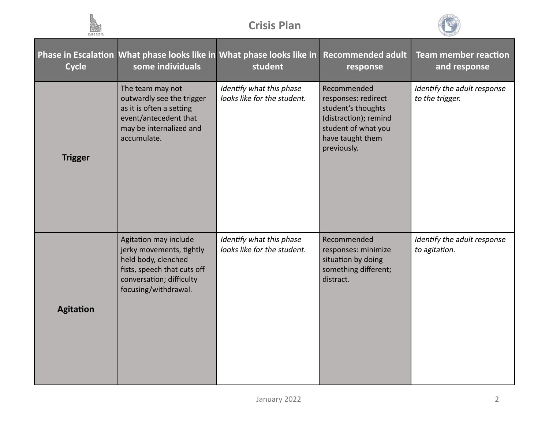



| <b>Cycle</b>     | some individuals                                                                                                                                            | Phase in Escalation What phase looks like in What phase looks like in<br>student | <b>Recommended adult</b><br>response                                                                                                        | <b>Team member reaction</b><br>and response    |
|------------------|-------------------------------------------------------------------------------------------------------------------------------------------------------------|----------------------------------------------------------------------------------|---------------------------------------------------------------------------------------------------------------------------------------------|------------------------------------------------|
| <b>Trigger</b>   | The team may not<br>outwardly see the trigger<br>as it is often a setting<br>event/antecedent that<br>may be internalized and<br>accumulate.                | Identify what this phase<br>looks like for the student.                          | Recommended<br>responses: redirect<br>student's thoughts<br>(distraction); remind<br>student of what you<br>have taught them<br>previously. | Identify the adult response<br>to the trigger. |
| <b>Agitation</b> | Agitation may include<br>jerky movements, tightly<br>held body, clenched<br>fists, speech that cuts off<br>conversation; difficulty<br>focusing/withdrawal. | Identify what this phase<br>looks like for the student.                          | Recommended<br>responses: minimize<br>situation by doing<br>something different;<br>distract.                                               | Identify the adult response<br>to agitation.   |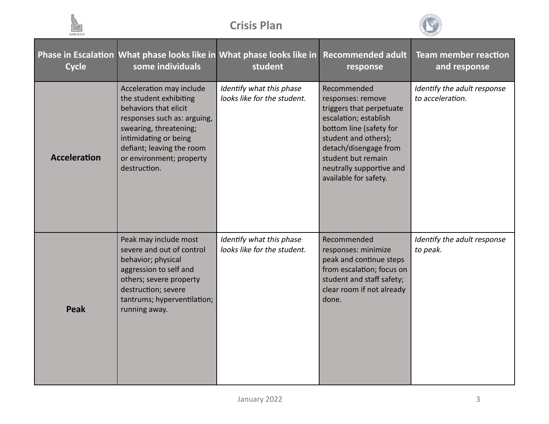



| <b>Cycle</b>        | some individuals                                                                                                                                                                                                                       | Phase in Escalation What phase looks like in What phase looks like in<br>student | <b>Recommended adult</b><br>response                                                                                                                                                                                                         | <b>Team member reaction</b><br>and response     |
|---------------------|----------------------------------------------------------------------------------------------------------------------------------------------------------------------------------------------------------------------------------------|----------------------------------------------------------------------------------|----------------------------------------------------------------------------------------------------------------------------------------------------------------------------------------------------------------------------------------------|-------------------------------------------------|
| <b>Acceleration</b> | Acceleration may include<br>the student exhibiting<br>behaviors that elicit<br>responses such as: arguing,<br>swearing, threatening;<br>intimidating or being<br>defiant; leaving the room<br>or environment; property<br>destruction. | Identify what this phase<br>looks like for the student.                          | Recommended<br>responses: remove<br>triggers that perpetuate<br>escalation; establish<br>bottom line (safety for<br>student and others);<br>detach/disengage from<br>student but remain<br>neutrally supportive and<br>available for safety. | Identify the adult response<br>to acceleration. |
| Peak                | Peak may include most<br>severe and out of control<br>behavior; physical<br>aggression to self and<br>others; severe property<br>destruction; severe<br>tantrums; hyperventilation;<br>running away.                                   | Identify what this phase<br>looks like for the student.                          | Recommended<br>responses: minimize<br>peak and continue steps<br>from escalation; focus on<br>student and staff safety;<br>clear room if not already<br>done.                                                                                | Identify the adult response<br>to peak.         |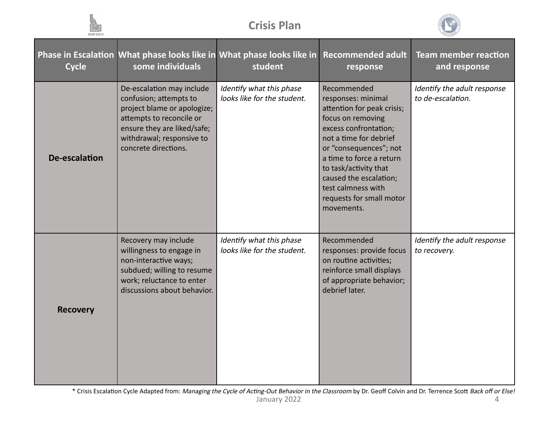



| <b>Cycle</b>    | some individuals                                                                                                                                                                                   | Phase in Escalation What phase looks like in What phase looks like in Recommended adult<br>student | response                                                                                                                                                                                                                                                                                                         | <b>Team member reaction</b><br>and response      |
|-----------------|----------------------------------------------------------------------------------------------------------------------------------------------------------------------------------------------------|----------------------------------------------------------------------------------------------------|------------------------------------------------------------------------------------------------------------------------------------------------------------------------------------------------------------------------------------------------------------------------------------------------------------------|--------------------------------------------------|
| De-escalation   | De-escalation may include<br>confusion; attempts to<br>project blame or apologize;<br>attempts to reconcile or<br>ensure they are liked/safe;<br>withdrawal; responsive to<br>concrete directions. | Identify what this phase<br>looks like for the student.                                            | Recommended<br>responses: minimal<br>attention for peak crisis;<br>focus on removing<br>excess confrontation;<br>not a time for debrief<br>or "consequences"; not<br>a time to force a return<br>to task/activity that<br>caused the escalation;<br>test calmness with<br>requests for small motor<br>movements. | Identify the adult response<br>to de-escalation. |
| <b>Recovery</b> | Recovery may include<br>willingness to engage in<br>non-interactive ways;<br>subdued; willing to resume<br>work; reluctance to enter<br>discussions about behavior.                                | Identify what this phase<br>looks like for the student.                                            | Recommended<br>responses: provide focus<br>on routine activities;<br>reinforce small displays<br>of appropriate behavior;<br>debrief later.                                                                                                                                                                      | Identify the adult response<br>to recovery.      |

January 2022 4 \* Crisis Escalation Cycle Adapted from: Managing the Cycle of Acting-Out Behavior in the Classroom by Dr. Geoff Colvin and Dr. Terrence Scott Back off or Else!